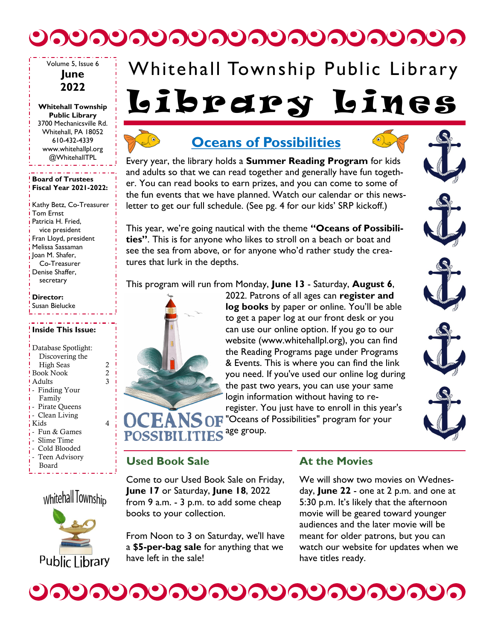# 

## Volume 5, Issue 6

#### **June 2022**

**Whitehall Township Public Library** 3700 Mechanicsville Rd. Whitehall, PA 18052 610-432-4339 www.whitehallpl.org @WhitehallTPL 

#### **Board of Trustees Fiscal Year 2021-2022:**

Kathy Betz, Co-Treasurer Tom Ernst Patricia H. Fried, vice president **Fran Lloyd**, president Melissa Sassaman i Joan M. Shafer, Co-Treasurer Denise Shaffer, secretary

#### **Director:** Susan Bielucke ما و مواد مواد مو

#### **Inside This Issue:**

Database Spotlight: Discovering the High Seas 2<br>ook Nook 2 Book Nook 2 **Adults** 3 - Finding Your Family - Pirate Oueens  $\cdot$  Clean Living  $\overline{\text{Kids}}$  4 - Fun & Games Slime Time - Cold Blooded Teen Advisory Board

whitehall Township

Public Library



# Library Lines Whitehall Township Public Library



# **Oceans of Possibilities**



Every year, the library holds a **Summer Reading Program** for kids and adults so that we can read together and generally have fun together. You can read books to earn prizes, and you can come to some of the fun events that we have planned. Watch our calendar or this newsletter to get our full schedule. (See pg. 4 for our kids' SRP kickoff.)

This year, we're going nautical with the theme **"Oceans of Possibilities"**. This is for anyone who likes to stroll on a beach or boat and see the sea from above, or for anyone who'd rather study the creatures that lurk in the depths.

This program will run from Monday, **June 13** - Saturday, **August 6**,



2022. Patrons of all ages can **register and log books** by paper or online. You'll be able to get a paper log at our front desk or you can use our online option. If you go to our website (www.whitehallpl.org), you can find the Reading Programs page under Programs & Events. This is where you can find the link you need. If you've used our online log during the past two years, you can use your same login information without having to reregister. You just have to enroll in this year's "Oceans of Possibilities" program for your









#### **Used Book Sale**

 $\bm{\mathsf{F}}$  and

Come to our Used Book Sale on Friday, **June 17** or Saturday, **June 18**, 2022 from 9 a.m. - 3 p.m. to add some cheap books to your collection.

From Noon to 3 on Saturday, we'll have a **\$5-per-bag sale** for anything that we have left in the sale!

#### **At the Movies**

We will show two movies on Wednesday, **June 22** - one at 2 p.m. and one at 5:30 p.m. It's likely that the afternoon movie will be geared toward younger audiences and the later movie will be meant for older patrons, but you can watch our website for updates when we have titles ready.



age group.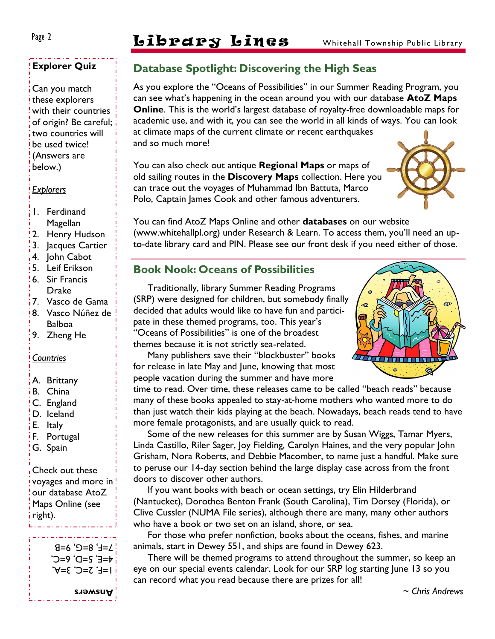# Page 2 **Librers** Lines Whitehall Township Public Library

#### **Explorer Quiz**

Can you match these explorers with their countries of origin? Be careful; two countries will be used twice! (Answers are below.)

#### *Explorers*

- 1. Ferdinand Magellan
- 2. Henry Hudson
- 3. Jacques Cartier
- 4. John Cabot
- 5. Leif Erikson
- 6. Sir Francis Drake
- 7. Vasco de Gama
- 8. Vasco Núñez de Balboa
- 9. Zheng He

#### *Countries*

- A. Brittany
- B. China
- C. England
- D. Iceland
- E. Italy
- F. Portugal
- G. Spain

Check out these voyages and more in our database AtoZ Maps Online (see right).

> $i$  I = E $i$  2=C $i$  3= $\forall$  $\frac{1}{2}$  +=E, 5=D, 6=C,  $\frac{1}{2}$   $\frac{1}{2}$   $\frac{1}{6}$   $\frac{1}{6}$   $\frac{1}{6}$   $\frac{1}{6}$   $\frac{1}{6}$   $\frac{1}{6}$   $\frac{1}{6}$   $\frac{1}{6}$   $\frac{1}{6}$   $\frac{1}{6}$   $\frac{1}{6}$   $\frac{1}{6}$   $\frac{1}{6}$   $\frac{1}{6}$   $\frac{1}{6}$   $\frac{1}{6}$   $\frac{1}{6}$   $\frac{1}{6}$   $\frac{1}{6}$   $\frac{1}{6}$

**Answers**

#### **Database Spotlight: Discovering the High Seas**

As you explore the "Oceans of Possibilities" in our Summer Reading Program, you can see what's happening in the ocean around you with our database **AtoZ Maps Online**. This is the world's largest database of royalty-free downloadable maps for academic use, and with it, you can see the world in all kinds of ways. You can look at climate maps of the current climate or recent earthquakes and so much more!

You can also check out antique **Regional Maps** or maps of old sailing routes in the **Discovery Maps** collection. Here you can trace out the voyages of Muhammad Ibn Battuta, Marco Polo, Captain James Cook and other famous adventurers.



You can find AtoZ Maps Online and other **databases** on our website (www.whitehallpl.org) under Research & Learn. To access them, you'll need an upto-date library card and PIN. Please see our front desk if you need either of those.

#### **Book Nook: Oceans of Possibilities**

Traditionally, library Summer Reading Programs (SRP) were designed for children, but somebody finally decided that adults would like to have fun and participate in these themed programs, too. This year's "Oceans of Possibilities" is one of the broadest themes because it is not strictly sea-related.

Many publishers save their "blockbuster" books for release in late May and June, knowing that most people vacation during the summer and have more

time to read. Over time, these releases came to be called "beach reads" because many of these books appealed to stay-at-home mothers who wanted more to do than just watch their kids playing at the beach. Nowadays, beach reads tend to have more female protagonists, and are usually quick to read.

Some of the new releases for this summer are by Susan Wiggs, Tamar Myers, Linda Castillo, Riler Sager, Joy Fielding, Carolyn Haines, and the very popular John Grisham, Nora Roberts, and Debbie Macomber, to name just a handful. Make sure to peruse our 14-day section behind the large display case across from the front doors to discover other authors.

If you want books with beach or ocean settings, try Elin Hilderbrand (Nantucket), Dorothea Benton Frank (South Carolina), Tim Dorsey (Florida), or Clive Cussler (NUMA File series), although there are many, many other authors who have a book or two set on an island, shore, or sea.

For those who prefer nonfiction, books about the oceans, fishes, and marine animals, start in Dewey 551, and ships are found in Dewey 623.

There will be themed programs to attend throughout the summer, so keep an eye on our special events calendar. Look for our SRP log starting June 13 so you can record what you read because there are prizes for all!

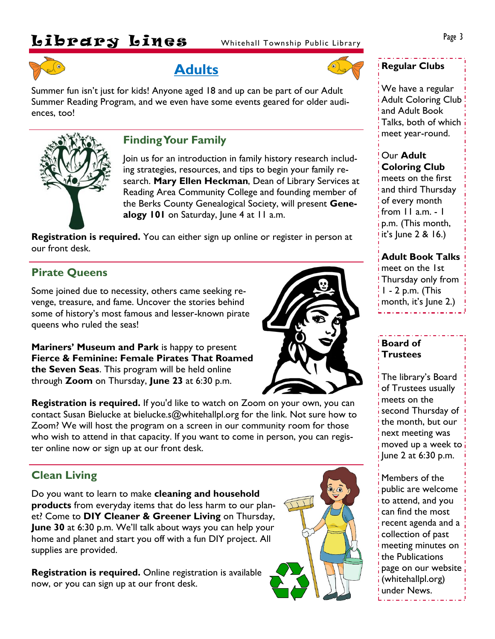# **LIbrary LINES** Whitehall Township Public Library Page 3



Summer fun isn't just for kids! Anyone aged 18 and up can be part of our Adult Summer Reading Program, and we even have some events geared for older audiences, too!



#### **Finding Your Family**

Join us for an introduction in family history research including strategies, resources, and tips to begin your family research. **Mary Ellen Heckman**, Dean of Library Services at Reading Area Community College and founding member of the Berks County Genealogical Society, will present **Genealogy 101** on Saturday, June 4 at 11 a.m.

**Registration is required.** You can either sign up online or register in person at our front desk.

#### **Pirate Queens**

Some joined due to necessity, others came seeking revenge, treasure, and fame. Uncover the stories behind some of history's most famous and lesser-known pirate queens who ruled the seas!

**Mariners' Museum and Park** is happy to present **Fierce & Feminine: Female Pirates That Roamed the Seven Seas**. This program will be held online through **Zoom** on Thursday, **June 23** at 6:30 p.m.

**Registration is required.** If you'd like to watch on Zoom on your own, you can contact Susan Bielucke at bielucke.s@whitehallpl.org for the link. Not sure how to Zoom? We will host the program on a screen in our community room for those who wish to attend in that capacity. If you want to come in person, you can register online now or sign up at our front desk.

#### **Clean Living**

Do you want to learn to make **cleaning and household products** from everyday items that do less harm to our planet? Come to **DIY Cleaner & Greener Living** on Thursday, **June 30** at 6:30 p.m. We'll talk about ways you can help your home and planet and start you off with a fun DIY project. All supplies are provided.

**Registration is required.** Online registration is available now, or you can sign up at our front desk.



# **Adults Regular Clubs**

We have a regular Adult Coloring Club and Adult Book Talks, both of which meet year-round.

Our **Adult Coloring Club**  meets on the first and third Thursday of every month from 11 a.m. - 1 p.m. (This month, it's June 2 & 16.)

**Adult Book Talks**  meet on the 1st Thursday only from 1 - 2 p.m. (This month, it's June 2.)

#### **Board of Trustees**

The library's Board of Trustees usually meets on the second Thursday of the month, but our next meeting was moved up a week to June 2 at 6:30 p.m.

Members of the public are welcome to attend, and you can find the most recent agenda and a collection of past meeting minutes on the Publications page on our website (whitehallpl.org) under News.